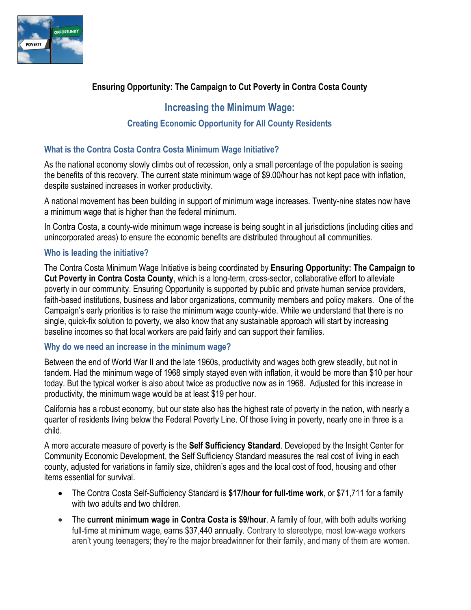

# **Ensuring Opportunity: The Campaign to Cut Poverty in Contra Costa County**

# **Increasing the Minimum Wage:**

## **Creating Economic Opportunity for All County Residents**

### **What is the Contra Costa Contra Costa Minimum Wage Initiative?**

As the national economy slowly climbs out of recession, only a small percentage of the population is seeing the benefits of this recovery. The current state minimum wage of \$9.00/hour has not kept pace with inflation, despite sustained increases in worker productivity.

A national movement has been building in support of minimum wage increases. Twenty-nine states now have a minimum wage that is higher than the federal minimum.

In Contra Costa, a county-wide minimum wage increase is being sought in all jurisdictions (including cities and unincorporated areas) to ensure the economic benefits are distributed throughout all communities.

### **Who is leading the initiative?**

The Contra Costa Minimum Wage Initiative is being coordinated by **Ensuring Opportunity: The Campaign to Cut Poverty in Contra Costa County**, which is a long-term, cross-sector, collaborative effort to alleviate poverty in our community. Ensuring Opportunity is supported by public and private human service providers, faith-based institutions, business and labor organizations, community members and policy makers. One of the Campaign's early priorities is to raise the minimum wage county-wide. While we understand that there is no single, quick-fix solution to poverty, we also know that any sustainable approach will start by increasing baseline incomes so that local workers are paid fairly and can support their families.

#### **Why do we need an increase in the minimum wage?**

Between the end of World War II and the late 1960s, productivity and wages both grew steadily, but not in tandem. Had the minimum wage of 1968 simply stayed even with inflation, it would be [more than \\$10 per hour](http://www.raisetheminimumwage.com/facts/entry/amount-with-inflation/)  [today.](http://www.raisetheminimumwage.com/facts/entry/amount-with-inflation/) But the typical worker is also about twice as productive now as in 1968. Adjusted for this increase in productivity, the minimum wage would be at least \$19 per hour.

California has a robust economy, but our state also has the highest rate of poverty in the nation, with nearly a quarter of residents living below the Federal Poverty Line. Of those living in poverty, nearly one in three is a child.

A more accurate measure of poverty is the **Self Sufficiency Standard**. Developed by the Insight Center for Community Economic Development, the Self Sufficiency Standard measures the real cost of living in each county, adjusted for variations in family size, children's ages and the local cost of food, housing and other items essential for survival.

- The Contra Costa Self-Sufficiency Standard is **\$17/hour for full-time work**, or \$71,711 for a family with two adults and two children.
- The **current minimum wage in Contra Costa is \$9/hour**. A family of four, with both adults working full-time at minimum wage, earns \$37,440 annually. Contrary to stereotype, most low-wage workers aren't young teenagers; they're the major breadwinner for their family, and many of them are [women.](http://www.whitehouse.gov/sites/default/files/docs/20140325minimumwageandwomenreportfinal.pdf)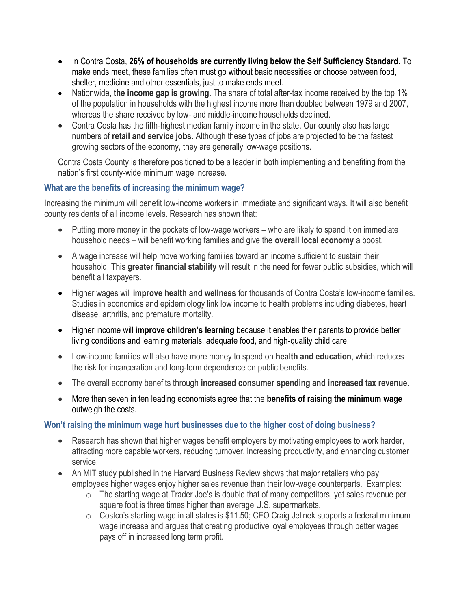- In Contra Costa, **26% of households are currently living below the Self Sufficiency Standard**. To make ends meet, these families often must go without basic necessities or choose between food, shelter, medicine and other essentials, just to make ends meet.
- Nationwide, **the income gap is growing**. The share of total after-tax income received by the top 1% of the population in households with the highest income more than doubled between 1979 and 2007, whereas the share received by low- and middle-income households declined.
- Contra Costa has the fifth-highest median family income in the state. Our county also has large numbers of **retail and service jobs**. Although these types of jobs are projected to be the fastest growing sectors of the economy, they are generally low-wage positions.

Contra Costa County is therefore positioned to be a leader in both implementing and benefiting from the nation's first county-wide minimum wage increase.

### **What are the benefits of increasing the minimum wage?**

Increasing the minimum will benefit low-income workers in immediate and significant ways. It will also benefit county residents of all income levels. Research has shown that:

- Putting more money in the pockets of low-wage workers who are likely to spend it on immediate household needs – will benefit working families and give the **overall local economy** a boost.
- A wage increase will help move working families toward an income sufficient to sustain their household. This **greater financial stability** will result in the need for fewer public subsidies, which will benefit all taxpayers.
- Higher wages will **improve health and wellness** for thousands of Contra Costa's low-income families. Studies in economics and epidemiology link low income to health problems including diabetes, heart disease, arthritis, and premature mortality.
- Higher income will **improve children's learning** because it enables their parents to provide better living conditions and learning materials, adequate food, and high-quality child care.
- Low-income families will also have more money to spend on **health and education**, which reduces the risk for incarceration and long-term dependence on public benefits.
- The overall economy benefits through **increased consumer spending and increased tax revenue**.
- More than seven in ten leading economists agree that the **benefits of raising the minimum wage** outweigh the costs.

### **Won't raising the minimum wage hurt businesses due to the higher cost of doing business?**

- Research has shown that higher wages benefit employers by motivating employees to work harder, attracting more capable workers, reducing turnover, increasing productivity, and enhancing customer service.
- An MIT study published in the Harvard Business Review shows that major retailers who pay employees higher wages enjoy higher sales revenue than their low-wage counterparts. Examples:
	- $\circ$  The starting wage at Trader Joe's is double that of many competitors, yet sales revenue per square foot is three times higher than average U.S. supermarkets.
	- $\circ$  Costco's starting wage in all states is \$11.50; CEO Craig Jelinek supports a federal minimum wage increase and argues that creating productive loyal employees through better wages pays off in increased long term profit.